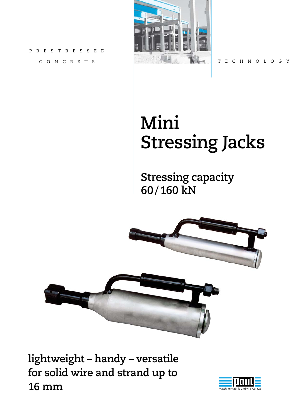PRESTRESSED CONCRETE



TECHNOLOGY

# **Mini Stressing Jacks**

**Stressing capacity 60 / 160 kN**



**lightweight – handy – versatile for solid wire and strand up to 16 mm**

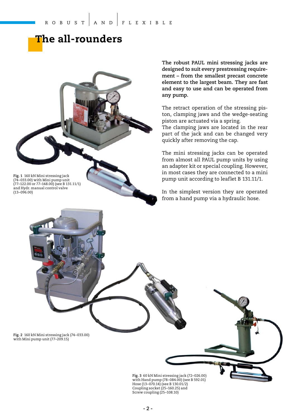#### **The all-rounders**



**The robust PAUL mini stressing jacks are designed to suit every prestressing requirement – from the smallest precast concrete element to the largest beam. They are fast and easy to use and can be operated from any pump.**

The retract operation of the stressing piston, clamping jaws and the wedge-seating piston are actuated via a spring. The clamping jaws are located in the rear part of the jack and can be changed very quickly after removing the cap.

The mini stressing jacks can be operated from almost all PAUL pump units by using an adapter kit or special coupling. However, in most cases they are connected to a mini pump unit according to leaflet B 131.11/1.

In the simplest version they are operated from a hand pump via a hydraulic hose.

**Fig. 2** 160 kN Mini stressing jack (74–033.00) with Mini pump unit (77–209.15)

> **Fig. 3** 60 kN Mini stressing jack (72–026.00) with Hand pump (78–084.00) (see B 592.01) Hose  $(13-070.14)$  (see B 130.01/2) Coupling socket (25–160.25) and Screw coupling (25–108.10)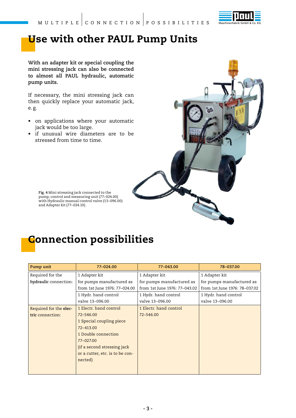

#### **Use with other PAUL Pump Units**

**With an adapter kit or special coupling the mini stressing jack can also be connected to almost all PAUL hydraulic, automatic pump units.**

If necessary, the mini stressing jack can then quickly replace your automatic jack, e. g.

- on applications where your automatic jack would be too large.
- if unusual wire diameters are to be stressed from time to time.



**Fig. 4** Mini stressing jack connected to the pump, control and measuring unit (77–024.00) with Hydraulic manual control valve (13–096.00) and Adapter kit (77–024.10).

#### **Connection possibilities**

| Pump unit              | 77-024.00                       | 77-043.00                     | 78-037.00                     |
|------------------------|---------------------------------|-------------------------------|-------------------------------|
| Required for the       | 1 Adapter kit                   | 1 Adapter kit                 | 1 Adapter kit                 |
| hydraulic connection:  | for pumps manufactured as       | for pumps manufactured as     | for pumps manufactured as     |
|                        | from 1st June 1976: 77-024.00   | from 1st June 1976: 77-043.02 | from 1st June 1976: 78-037.02 |
|                        | 1 Hydr. hand control            | 1 Hydr. hand control          | 1 Hydr. hand control          |
|                        | valve 13-096.00                 | valve 13-096.00               | valve 13-096.00               |
| Required for the elec- | 1 Electr. hand control          | 1 Electr. hand control        |                               |
| tric connection:       | 72-546.00                       | 72-546.00                     |                               |
|                        | 1 Special coupling piece        |                               |                               |
|                        | 72-413.00                       |                               |                               |
|                        | 1 Double connection             |                               |                               |
|                        | 77-027.00                       |                               |                               |
|                        | (if a second stressing jack)    |                               |                               |
|                        | or a cutter, etc. is to be con- |                               |                               |
|                        | nected)                         |                               |                               |
|                        |                                 |                               |                               |
|                        |                                 |                               |                               |